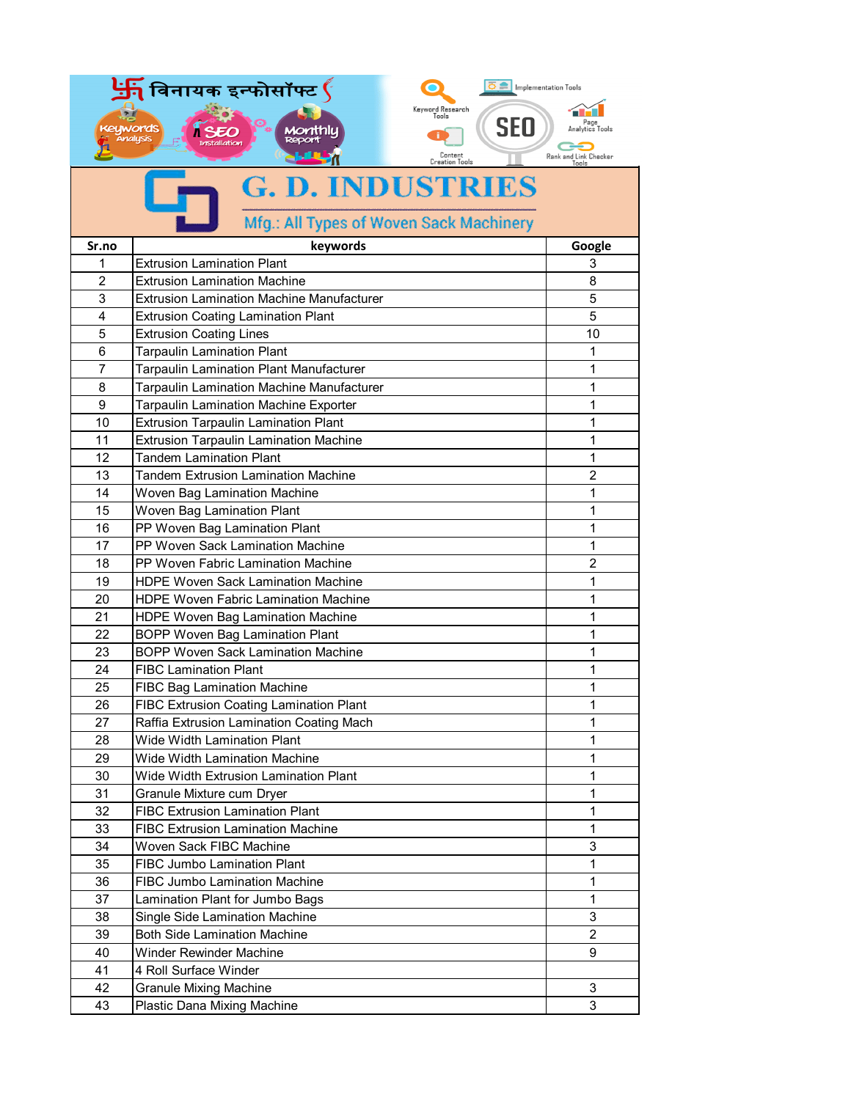| विनायक इन्फोसॉफ्ट $\mathfrak{\mathfrak{c}}$<br>$\overline{\circ}$   Implementation Tools |                                                   |                                |
|------------------------------------------------------------------------------------------|---------------------------------------------------|--------------------------------|
|                                                                                          | Keyword Research<br>Tools                         |                                |
|                                                                                          | <b>SEO</b><br>uwords                              | Page<br>Analytics Tools        |
|                                                                                          | <b>Analysis</b><br><b>Installation</b><br>Content |                                |
|                                                                                          | Creation Tools                                    | Rank and Link Checker<br>Tonls |
|                                                                                          | <b>G. D. INDUSTRIES</b>                           |                                |
|                                                                                          |                                                   |                                |
|                                                                                          | Mfg.: All Types of Woven Sack Machinery           |                                |
| Sr.no                                                                                    | keywords                                          | Google                         |
| 1                                                                                        | <b>Extrusion Lamination Plant</b>                 | 3                              |
| 2                                                                                        | <b>Extrusion Lamination Machine</b>               | 8                              |
| 3                                                                                        | <b>Extrusion Lamination Machine Manufacturer</b>  | 5                              |
| $\overline{4}$                                                                           | <b>Extrusion Coating Lamination Plant</b>         | 5                              |
| 5                                                                                        | <b>Extrusion Coating Lines</b>                    | 10                             |
| 6                                                                                        | <b>Tarpaulin Lamination Plant</b>                 | 1                              |
| 7                                                                                        | Tarpaulin Lamination Plant Manufacturer           | 1                              |
| 8                                                                                        | <b>Tarpaulin Lamination Machine Manufacturer</b>  | 1                              |
| 9                                                                                        | <b>Tarpaulin Lamination Machine Exporter</b>      | 1                              |
| 10                                                                                       | <b>Extrusion Tarpaulin Lamination Plant</b>       | 1                              |
| 11                                                                                       | <b>Extrusion Tarpaulin Lamination Machine</b>     | 1                              |
| 12                                                                                       | <b>Tandem Lamination Plant</b>                    | 1                              |
| 13                                                                                       | <b>Tandem Extrusion Lamination Machine</b>        | $\overline{2}$                 |
| 14                                                                                       | Woven Bag Lamination Machine                      | 1                              |
| 15                                                                                       | Woven Bag Lamination Plant                        | 1                              |
| 16                                                                                       | PP Woven Bag Lamination Plant                     | 1                              |
| 17                                                                                       | PP Woven Sack Lamination Machine                  | 1                              |
| 18                                                                                       | PP Woven Fabric Lamination Machine                | $\overline{2}$                 |
| 19                                                                                       | <b>HDPE Woven Sack Lamination Machine</b>         | 1                              |
| 20                                                                                       | <b>HDPE Woven Fabric Lamination Machine</b>       | 1                              |
| 21                                                                                       | HDPE Woven Bag Lamination Machine                 | 1                              |
| 22                                                                                       | <b>BOPP Woven Bag Lamination Plant</b>            | 1                              |
| 23                                                                                       | <b>BOPP Woven Sack Lamination Machine</b>         | 1                              |
| 24                                                                                       | <b>FIBC Lamination Plant</b>                      | 1                              |
| 25                                                                                       | <b>FIBC Bag Lamination Machine</b>                | 1                              |
| 26                                                                                       | FIBC Extrusion Coating Lamination Plant           | 1                              |
| 27                                                                                       | Raffia Extrusion Lamination Coating Mach          | 1                              |
| 28                                                                                       | Wide Width Lamination Plant                       | $\mathbf{1}$                   |
| 29                                                                                       | <b>Wide Width Lamination Machine</b>              | $\mathbf{1}$                   |
| 30                                                                                       | Wide Width Extrusion Lamination Plant             | 1                              |
| 31                                                                                       | Granule Mixture cum Dryer                         | 1                              |
| 32                                                                                       | <b>FIBC Extrusion Lamination Plant</b>            | 1                              |
| 33                                                                                       | <b>FIBC Extrusion Lamination Machine</b>          | 1                              |
| 34                                                                                       | Woven Sack FIBC Machine                           | 3                              |
| 35                                                                                       | <b>FIBC Jumbo Lamination Plant</b>                | 1                              |
| 36                                                                                       | <b>FIBC Jumbo Lamination Machine</b>              | $\mathbf{1}$                   |
| 37                                                                                       | Lamination Plant for Jumbo Bags                   | $\mathbf{1}$                   |
| 38                                                                                       | Single Side Lamination Machine                    | 3                              |
| 39                                                                                       | <b>Both Side Lamination Machine</b>               | $\overline{2}$                 |
| 40                                                                                       | Winder Rewinder Machine                           | 9                              |
| 41                                                                                       | 4 Roll Surface Winder                             |                                |
| 42                                                                                       | <b>Granule Mixing Machine</b>                     | 3                              |
| 43                                                                                       | Plastic Dana Mixing Machine                       | 3                              |